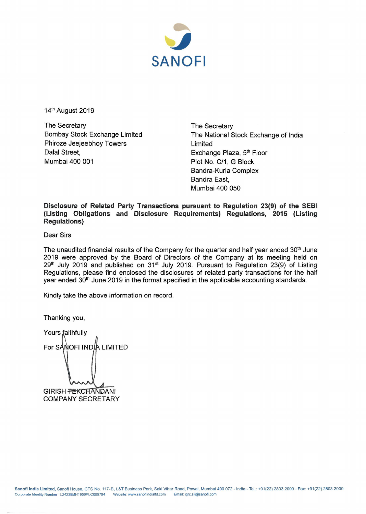

14<sup>th</sup> August 2019

The Secretary Bombay Stock Exchange Limited Phiroze Jeejeebhoy Towers Dalal Street, Mumbai 400 001

The Secretary The National Stock Exchange of India Limited Exchange Plaza, 5<sup>th</sup> Floor Plot No. C/1, G Block Bandra-Kurla Complex Bandra East. Mumbai 400 050

**Disclosure of Related Party Transactions pursuant to Regulation 23(9) of the SEBI (Listing Obligations and Disclosure Requirements) Regulations, 2015 (Listing Regulations)** 

Dear Sirs

The unaudited financial results of the Company for the quarter and half year ended  $30<sup>th</sup>$  June 2019 were approved by the Board of Directors of the Company at its meeting held on  $29<sup>th</sup>$  July 2019 and published on 31 $<sup>st</sup>$  July 2019. Pursuant to Regulation 23(9) of Listing</sup> Regulations, please find enclosed the disclosures of related party transactions for the half year ended 30<sup>th</sup> June 2019 in the format specified in the applicable accounting standards.

Kindly take the above information on record.

Thanking you,

Yours faithfully For SANOFI INDIA LIMITED GIRISH <del>TEKCHANDANI</del> COMPANY SECRETARY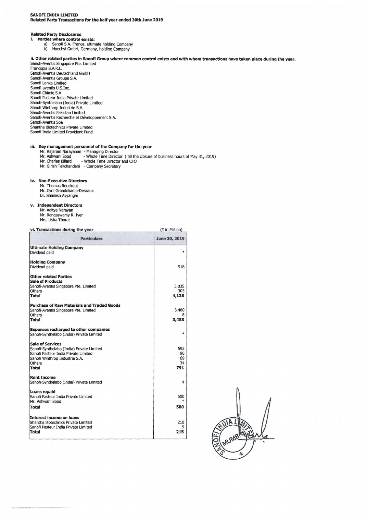#### **Related Party Disclosures**

- **i. Parties where control exists:** 
	- a) Sanofi S.A. France, ultimate holding Company
	- b) Hoechst GmbH, Germany, holding Company

# ii. **Other related parties in Sanofi Group where common control exists and with whom transactions have taken place during the year.**

 $(7$  in Million)

Sanofi-Aventis Singapore pte. Limited Francopia S.A.R.L. Sanofi-Aventis Deutschland GmbH Sanofi-Aventis Groupe S.A. Sanofi Lanka Limited Sanofi-aventis U.S.Inc. Sanofi Chimie S.A Sanofi Pasteur India Private Limited Sanofi-Synthelabo (India) Private Limited Sanofi Winthrop Industrie S.A. Sanofi-Aventis Pakistan Limited Sanofi-Aventis Recherche et Développement S.A. Sanofi-Aventis Spa Shantha Biotechnics Private Limited Sanofi India Limited Provident Fund

#### **iii. Key management personnel of the Company for the year**

- 
- Mr. Rajaram Narayanan Managing Director<br>Mr. Ashwani Sood - Whole Time Director ( till the closure of business hours of May 31, 2019)
- Mr. Charles Billard Whole Time Director and CFO
- Mr. Girish Tekchandani Company Secretary

#### **iv. Non-Executive Directors**

- Mr. Thomas Rouckout
- Mr. Cyril Grandchamp-Desraux
- Dr. Shailesh Ayyangar

### **v. Independent Directors**

Mr. Aditya Narayan Mr. Rangaswamy R. Iyer Mrs. Usha Thorat

### **vi. Transactions durina the vear**

| <b>Particulars</b>                                                                                                                                                | June 30, 2019                |
|-------------------------------------------------------------------------------------------------------------------------------------------------------------------|------------------------------|
| <b>Ultimate Holding Company</b><br>Dividend paid                                                                                                                  | $\ast$                       |
| <b>Holding Company</b><br>Dividend paid                                                                                                                           | 918                          |
| <b>Other related Parties</b><br><b>Sale of Products</b><br>Sanofi-Aventis Singapore Pte. Limited<br>Others<br>Total                                               | 3,835<br>303<br>4,138        |
| <b>Purchase of Raw Materials and Traded Goods</b><br>Sanofi-Aventis Singapore Pte. Limited<br>Others<br>Total                                                     | 3,480<br>3,488               |
| <b>Expenses recharged to other companies</b><br>Sanofi-Synthelabo (India) Private Limited                                                                         | $\ast$                       |
| <b>Sale of Services</b><br>Sanofi-Synthelabo (India) Private Limited<br>Sanofi Pasteur India Private Limited<br>Sanofi Winthrop Industrie S.A.<br>Others<br>Total | 592<br>96<br>69<br>34<br>791 |
| <b>Rent Income</b><br>Sanofi-Synthelabo (India) Private Limited                                                                                                   | 4                            |
| Loans repaid<br>Sanofi Pasteur India Private Limited<br>Mr. Ashwani Sood<br>Total                                                                                 | 500<br>500                   |
| Interest income on loans<br>Shantha Biotechnics Private Limited<br>Sanofi Pasteur India Private Limited<br><b>Total</b>                                           | 210<br>5<br>215              |